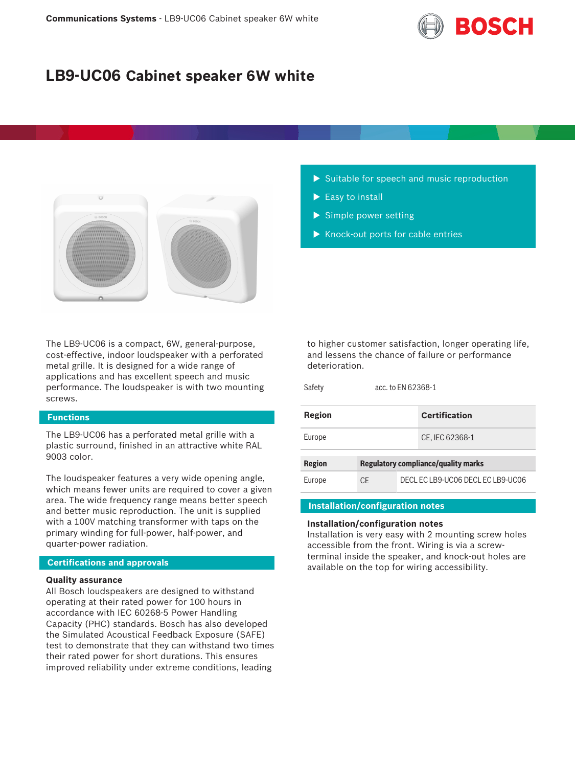

# **LB9-UC06 Cabinet speaker 6W white**



The LB9-UC06 is a compact, 6W, general-purpose, cost-effective, indoor loudspeaker with a perforated metal grille. It is designed for a wide range of applications and has excellent speech and music performance. The loudspeaker is with two mounting screws.

## **Functions**

The LB9-UC06 has a perforated metal grille with a plastic surround, finished in an attractive white RAL 9003 color.

The loudspeaker features a very wide opening angle, which means fewer units are required to cover a given area. The wide frequency range means better speech and better music reproduction. The unit is supplied with a 100V matching transformer with taps on the primary winding for full-power, half-power, and quarter-power radiation.

### **Certifications and approvals**

### **Quality assurance**

All Bosch loudspeakers are designed to withstand operating at their rated power for 100 hours in accordance with IEC 60268-5 Power Handling Capacity (PHC) standards. Bosch has also developed the Simulated Acoustical Feedback Exposure (SAFE) test to demonstrate that they can withstand two times their rated power for short durations. This ensures improved reliability under extreme conditions, leading

- $\triangleright$  Suitable for speech and music reproduction
- $\blacktriangleright$  Easy to install
- $\triangleright$  Simple power setting
- $\blacktriangleright$  Knock-out ports for cable entries

to higher customer satisfaction, longer operating life, and lessens the chance of failure or performance deterioration.

Safety acc. to EN 62368-1

| Region        |                                            |  | <b>Certification</b>              |  |
|---------------|--------------------------------------------|--|-----------------------------------|--|
| Europe        |                                            |  | CE, IEC 62368-1                   |  |
| <b>Region</b> | <b>Regulatory compliance/quality marks</b> |  |                                   |  |
| Europe        | CF                                         |  | DECL EC LB9-UC06 DECL EC LB9-UC06 |  |

# **Installation/configuration notes**

#### **Installation/configuration notes**

Installation is very easy with 2 mounting screw holes accessible from the front. Wiring is via a screwterminal inside the speaker, and knock-out holes are available on the top for wiring accessibility.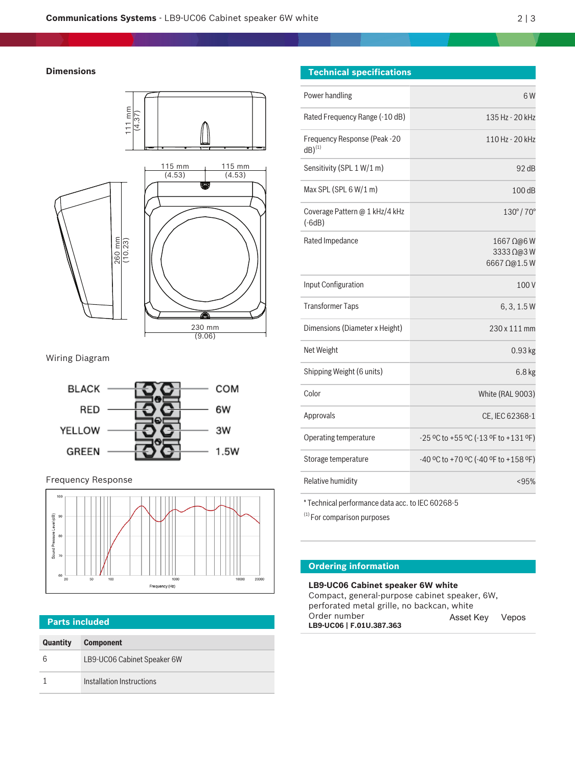# **Dimensions**



Wiring Diagram



Frequency Response



# **Parts included**

| <b>Quantity</b> | <b>Component</b>            |
|-----------------|-----------------------------|
|                 | LB9-UC06 Cabinet Speaker 6W |
|                 | Installation Instructions   |

| <b>Technical specifications</b> |  |
|---------------------------------|--|
|                                 |  |

| Power handling                                       | 6 W                                    |
|------------------------------------------------------|----------------------------------------|
| Rated Frequency Range (-10 dB)                       | 135 Hz - 20 kHz                        |
| Frequency Response (Peak -20<br>$dB)$ <sup>(1)</sup> | 110 Hz - 20 kHz                        |
| Sensitivity (SPL 1 W/1 m)                            | 92dB                                   |
| Max SPL (SPL $6 W/1 m$ )                             | 100dB                                  |
| Coverage Pattern @ 1 kHz/4 kHz<br>$(-6dB)$           | $130^{\circ}/70^{\circ}$               |
| Rated Impedance                                      | 1667 Ω@6W<br>3333 Ω@3W<br>6667 Ω@1.5W  |
| Input Configuration                                  | 100V                                   |
| <b>Transformer Taps</b>                              | 6, 3, 1.5W                             |
| Dimensions (Diameter x Height)                       | 230 x 111 mm                           |
| Net Weight                                           | 0.93 kg                                |
| Shipping Weight (6 units)                            | 6.8 kg                                 |
| Color                                                | <b>White (RAL 9003)</b>                |
| Approvals                                            | CE, IEC 62368-1                        |
| Operating temperature                                | $-25$ °C to +55 °C (-13 °F to +131 °F) |
| Storage temperature                                  | $-40$ °C to +70 °C (-40 °F to +158 °F) |
| Relative humidity                                    | < 95%                                  |

\* Technical performance data acc. to IEC 60268-5

(1) For comparison purposes

# **Ordering information**

**LB9-UC06 Cabinet speaker 6W white** Compact, general-purpose cabinet speaker, 6W, perforated metal grille, no backcan, white Order number **LB9-UC06 | F.01U.387.363** Asset Key Vepos